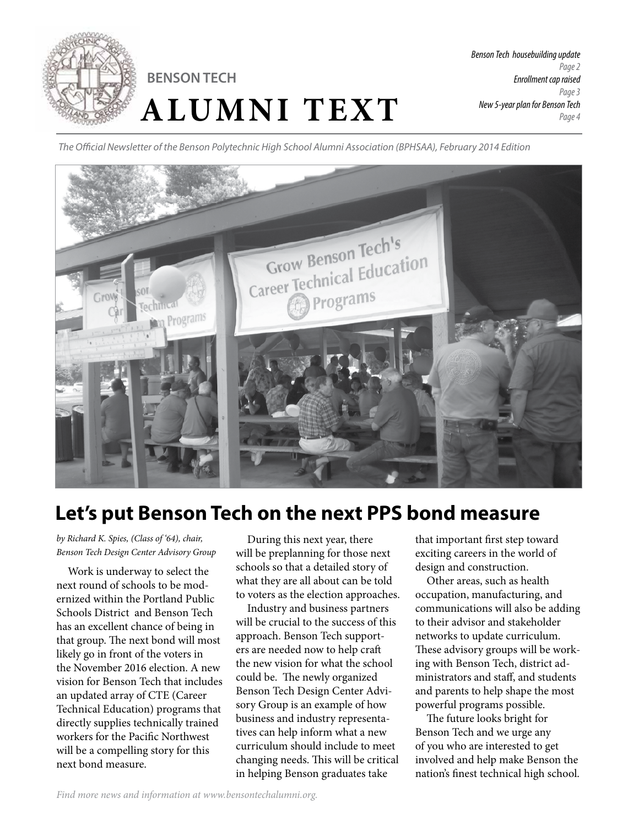

# **ALUMNI TEXT BENSON TECH**

*The Official Newsletter of the Benson Polytechnic High School Alumni Association (BPHSAA), February 2014 Edition*



## **Let's put Benson Tech on the next PPS bond measure**

*by Richard K. Spies, (Class of '64), chair, Benson Tech Design Center Advisory Group* 

Work is underway to select the next round of schools to be modernized within the Portland Public Schools District and Benson Tech has an excellent chance of being in that group. The next bond will most likely go in front of the voters in the November 2016 election. A new vision for Benson Tech that includes an updated array of CTE (Career Technical Education) programs that directly supplies technically trained workers for the Pacific Northwest will be a compelling story for this next bond measure.

During this next year, there will be preplanning for those next schools so that a detailed story of what they are all about can be told to voters as the election approaches.

Industry and business partners will be crucial to the success of this approach. Benson Tech supporters are needed now to help craft the new vision for what the school could be. The newly organized Benson Tech Design Center Advisory Group is an example of how business and industry representatives can help inform what a new curriculum should include to meet changing needs. This will be critical in helping Benson graduates take

that important first step toward exciting careers in the world of design and construction.

Other areas, such as health occupation, manufacturing, and communications will also be adding to their advisor and stakeholder networks to update curriculum. These advisory groups will be working with Benson Tech, district administrators and staff, and students and parents to help shape the most powerful programs possible.

The future looks bright for Benson Tech and we urge any of you who are interested to get involved and help make Benson the nation's finest technical high school.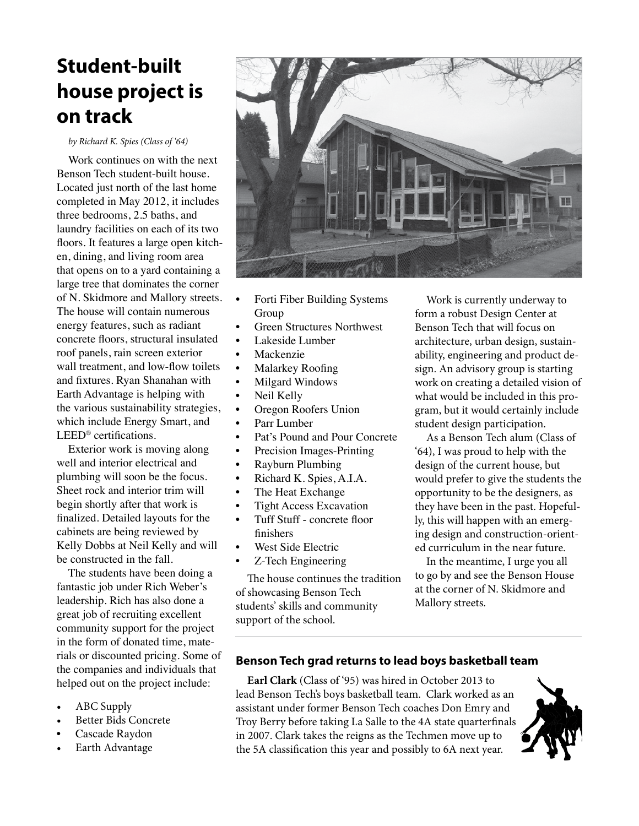## **Student-built house project is on track**

*by Richard K. Spies (Class of '64)*

Work continues on with the next Benson Tech student-built house. Located just north of the last home completed in May 2012, it includes three bedrooms, 2.5 baths, and laundry facilities on each of its two floors. It features a large open kitchen, dining, and living room area that opens on to a yard containing a large tree that dominates the corner of N. Skidmore and Mallory streets. The house will contain numerous energy features, such as radiant concrete floors, structural insulated roof panels, rain screen exterior wall treatment, and low-flow toilets and fixtures. Ryan Shanahan with Earth Advantage is helping with the various sustainability strategies, which include Energy Smart, and LEED® certifications.

Exterior work is moving along well and interior electrical and plumbing will soon be the focus. Sheet rock and interior trim will begin shortly after that work is finalized. Detailed layouts for the cabinets are being reviewed by Kelly Dobbs at Neil Kelly and will be constructed in the fall.

The students have been doing a fantastic job under Rich Weber's leadership. Rich has also done a great job of recruiting excellent community support for the project in the form of donated time, materials or discounted pricing. Some of the companies and individuals that helped out on the project include:

- ABC Supply
- Better Bids Concrete
- Cascade Raydon
- Earth Advantage



- Forti Fiber Building Systems Group
- Green Structures Northwest
- Lakeside Lumber
- **Mackenzie**
- Malarkey Roofing
- Milgard Windows
- Neil Kelly
- Oregon Roofers Union
- Parr Lumber
- Pat's Pound and Pour Concrete
- Precision Images-Printing
- Rayburn Plumbing
- Richard K. Spies, A.I.A.
- The Heat Exchange
- Tight Access Excavation
- Tuff Stuff concrete floor finishers
- West Side Electric
- Z-Tech Engineering

The house continues the tradition of showcasing Benson Tech students' skills and community support of the school.

Work is currently underway to form a robust Design Center at Benson Tech that will focus on architecture, urban design, sustainability, engineering and product design. An advisory group is starting work on creating a detailed vision of what would be included in this program, but it would certainly include student design participation.

As a Benson Tech alum (Class of '64), I was proud to help with the design of the current house, but would prefer to give the students the opportunity to be the designers, as they have been in the past. Hopefully, this will happen with an emerging design and construction-oriented curriculum in the near future.

In the meantime, I urge you all to go by and see the Benson House at the corner of N. Skidmore and Mallory streets.

#### **Benson Tech grad returns to lead boys basketball team**

**Earl Clark** (Class of '95) was hired in October 2013 to lead Benson Tech's boys basketball team. Clark worked as an assistant under former Benson Tech coaches Don Emry and Troy Berry before taking La Salle to the 4A state quarterfinals in 2007. Clark takes the reigns as the Techmen move up to the 5A classification this year and possibly to 6A next year.

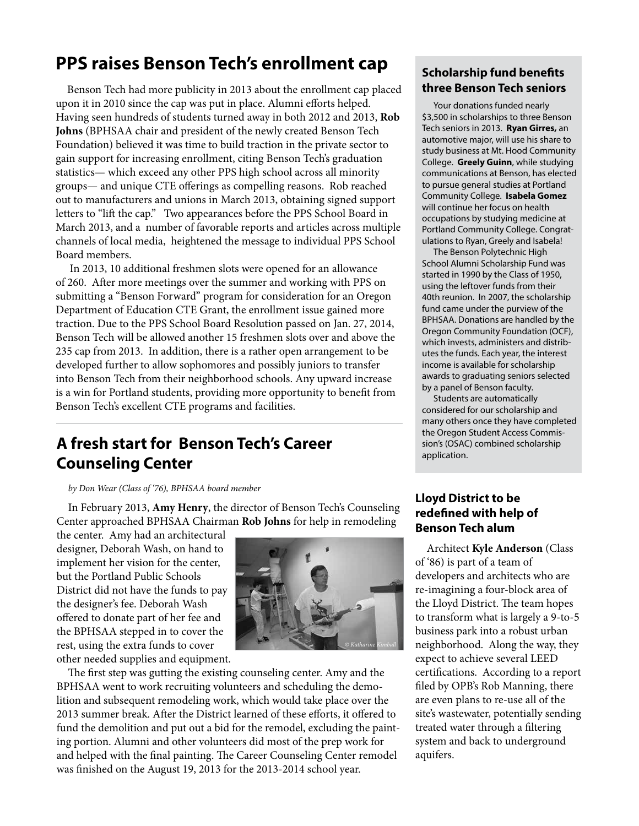## **PPS raises Benson Tech's enrollment cap**

Benson Tech had more publicity in 2013 about the enrollment cap placed upon it in 2010 since the cap was put in place. Alumni efforts helped. Having seen hundreds of students turned away in both 2012 and 2013, **Rob Johns** (BPHSAA chair and president of the newly created Benson Tech Foundation) believed it was time to build traction in the private sector to gain support for increasing enrollment, citing Benson Tech's graduation statistics— which exceed any other PPS high school across all minority groups— and unique CTE offerings as compelling reasons. Rob reached out to manufacturers and unions in March 2013, obtaining signed support letters to "lift the cap." Two appearances before the PPS School Board in March 2013, and a number of favorable reports and articles across multiple channels of local media, heightened the message to individual PPS School Board members.

 In 2013, 10 additional freshmen slots were opened for an allowance of 260. After more meetings over the summer and working with PPS on submitting a "Benson Forward" program for consideration for an Oregon Department of Education CTE Grant, the enrollment issue gained more traction. Due to the PPS School Board Resolution passed on Jan. 27, 2014, Benson Tech will be allowed another 15 freshmen slots over and above the 235 cap from 2013. In addition, there is a rather open arrangement to be developed further to allow sophomores and possibly juniors to transfer into Benson Tech from their neighborhood schools. Any upward increase is a win for Portland students, providing more opportunity to benefit from Benson Tech's excellent CTE programs and facilities.

## **A fresh start for Benson Tech's Career Counseling Center**

#### *by Don Wear (Class of '76), BPHSAA board member*

In February 2013, **Amy Henry**, the director of Benson Tech's Counseling Center approached BPHSAA Chairman **Rob Johns** for help in remodeling

the center. Amy had an architectural designer, Deborah Wash, on hand to implement her vision for the center, but the Portland Public Schools District did not have the funds to pay the designer's fee. Deborah Wash offered to donate part of her fee and the BPHSAA stepped in to cover the rest, using the extra funds to cover other needed supplies and equipment.



The first step was gutting the existing counseling center. Amy and the BPHSAA went to work recruiting volunteers and scheduling the demolition and subsequent remodeling work, which would take place over the 2013 summer break. After the District learned of these efforts, it offered to fund the demolition and put out a bid for the remodel, excluding the painting portion. Alumni and other volunteers did most of the prep work for and helped with the final painting. The Career Counseling Center remodel was finished on the August 19, 2013 for the 2013-2014 school year.

### **Scholarship fund benefits three Benson Tech seniors**

Your donations funded nearly \$3,500 in scholarships to three Benson Tech seniors in 2013. **Ryan Girres,** an automotive major, will use his share to study business at Mt. Hood Community College. **Greely Guinn**, while studying communications at Benson, has elected to pursue general studies at Portland Community College. **Isabela Gomez** will continue her focus on health occupations by studying medicine at Portland Community College. Congratulations to Ryan, Greely and Isabela!

The Benson Polytechnic High School Alumni Scholarship Fund was started in 1990 by the Class of 1950, using the leftover funds from their 40th reunion. In 2007, the scholarship fund came under the purview of the BPHSAA. Donations are handled by the Oregon Community Foundation (OCF), which invests, administers and distributes the funds. Each year, the interest income is available for scholarship awards to graduating seniors selected by a panel of Benson faculty.

Students are automatically considered for our scholarship and many others once they have completed the Oregon Student Access Commission's (OSAC) combined scholarship application.

#### **Lloyd District to be redefined with help of Benson Tech alum**

Architect **Kyle Anderson** (Class of '86) is part of a team of developers and architects who are re-imagining a four-block area of the Lloyd District. The team hopes to transform what is largely a 9-to-5 business park into a robust urban neighborhood. Along the way, they expect to achieve several LEED certifications. According to a report filed by OPB's Rob Manning, there are even plans to re-use all of the site's wastewater, potentially sending treated water through a filtering system and back to underground aquifers.